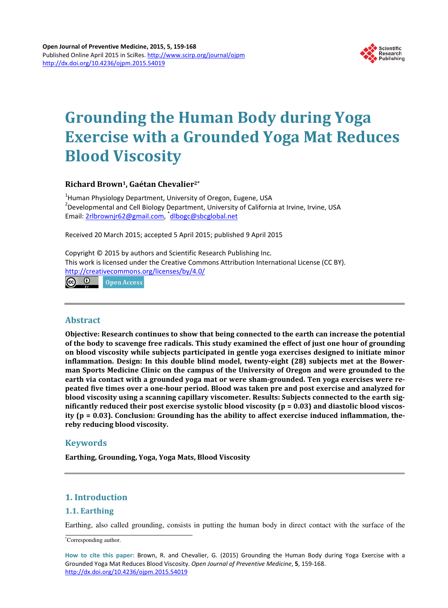

# **Grounding the Human Body during Yoga Exercise with a Grounded Yoga Mat Reduces Blood Viscosity**

# **Richard Brown1, Gaétan Chevalier2\***

<sup>1</sup>Human Physiology Department, University of Oregon, Eugene, USA <sup>2</sup> Developmental and Cell Biology Department, University of California at Irvine, Irvine, USA Email: [2rlbrownjr62@gmail.com,](mailto:2rlbrownjr62@gmail.com) dlbogc@sbcglobal.net

Received 20 March 2015; accepted 5 April 2015; published 9 April 2015

Copyright © 2015 by authors and Scientific Research Publishing Inc. This work is licensed under the Creative Commons Attribution International License (CC BY). <http://creativecommons.org/licenses/by/4.0/>

 $\odot$  $\left( \infty \right)$ **Open Access** 

# **Abstract**

**Objective: Research continues to show that being connected to the earth can increase the potential of the body to scavenge free radicals. This study examined the effect of just one hour of grounding on blood viscosity while subjects participated in gentle yoga exercises designed to initiate minor inflammation. Design: In this double blind model, twenty-eight (28) subjects met at the Bowerman Sports Medicine Clinic on the campus of the University of Oregon and were grounded to the earth via contact with a grounded yoga mat or were sham-grounded. Ten yoga exercises were repeated five times over a one-hour period. Blood was taken pre and post exercise and analyzed for blood viscosity using a scanning capillary viscometer. Results: Subjects connected to the earth significantly reduced their post exercise systolic blood viscosity (p = 0.03) and diastolic blood viscosity (p = 0.03). Conclusion: Grounding has the ability to affect exercise induced inflammation, thereby reducing blood viscosity.**

# **Keywords**

**Earthing, Grounding, Yoga, Yoga Mats, Blood Viscosity**

# **1. Introduction**

# **1.1. Earthing**

Earthing, also called grounding, consists in putting the human body in direct contact with the surface of the

\*Corresponding author.

**How to cite this paper:** Brown, R. and Chevalier, G. (2015) Grounding the Human Body during Yoga Exercise with a Grounded Yoga Mat Reduces Blood Viscosity. *Open Journal of Preventive Medicine*, **5**, 159-168. <http://dx.doi.org/10.4236/ojpm.2015.54019>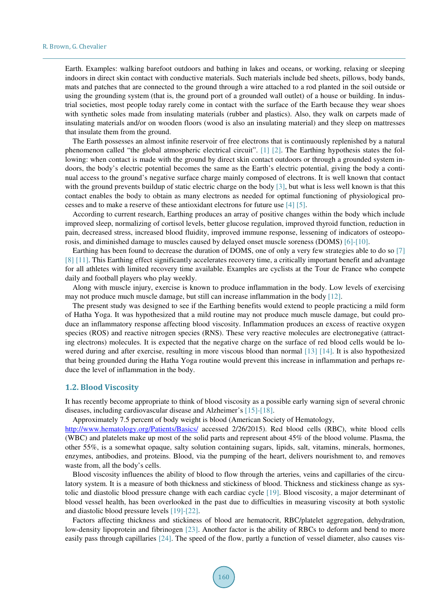Earth. Examples: walking barefoot outdoors and bathing in lakes and oceans, or working, relaxing or sleeping indoors in direct skin contact with conductive materials. Such materials include bed sheets, pillows, body bands, mats and patches that are connected to the ground through a wire attached to a rod planted in the soil outside or using the grounding system (that is, the ground port of a grounded wall outlet) of a house or building. In industrial societies, most people today rarely come in contact with the surface of the Earth because they wear shoes with synthetic soles made from insulating materials (rubber and plastics). Also, they walk on carpets made of insulating materials and/or on wooden floors (wood is also an insulating material) and they sleep on mattresses that insulate them from the ground.

The Earth possesses an almost infinite reservoir of free electrons that is continuously replenished by a natural phenomenon called "the global atmospheric electrical circuit". [\[1\]](#page-7-0) [\[2\].](#page-7-1) The Earthing hypothesis states the following: when contact is made with the ground by direct skin contact outdoors or through a grounded system indoors, the body's electric potential becomes the same as the Earth's electric potential, giving the body a continual access to the ground's negative surface charge mainly composed of electrons. It is well known that contact with the ground prevents buildup of static electric charge on the body [\[3\],](#page-7-2) but what is less well known is that this contact enables the body to obtain as many electrons as needed for optimal functioning of physiological processes and to make a reserve of these antioxidant electrons for future use [\[4\]](#page-7-3) [\[5\].](#page-7-4)

According to current research, Earthing produces an array of positive changes within the body which include improved sleep, normalizing of cortisol levels, better glucose regulation, improved thyroid function, reduction in pain, decreased stress, increased blood fluidity, improved immune response, lessening of indicators of osteoporosis, and diminished damage to muscles caused by delayed onset muscle soreness (DOMS[\) \[6\]](#page-7-5)[-\[10\].](#page-7-6) 

Earthing has been found to decrease the duration of DOMS, one of only a very few strategies able to do so [\[7\]](#page-7-7) [\[8\]](#page-7-8) [\[11\].](#page-7-9) This Earthing effect significantly accelerates recovery time, a critically important benefit and advantage for all athletes with limited recovery time available. Examples are cyclists at the Tour de France who compete daily and football players who play weekly.

Along with muscle injury, exercise is known to produce inflammation in the body. Low levels of exercising may not produce much muscle damage, but still can increase inflammation in the body [\[12\].](#page-8-0)

The present study was designed to see if the Earthing benefits would extend to people practicing a mild form of Hatha Yoga. It was hypothesized that a mild routine may not produce much muscle damage, but could produce an inflammatory response affecting blood viscosity. Inflammation produces an excess of reactive oxygen species (ROS) and reactive nitrogen species (RNS). These very reactive molecules are electronegative (attracting electrons) molecules. It is expected that the negative charge on the surface of red blood cells would be lowered during and after exercise, resulting in more viscous blood than normal [\[13\]](#page-8-1) [\[14\].](#page-8-2) It is also hypothesized that being grounded during the Hatha Yoga routine would prevent this increase in inflammation and perhaps reduce the level of inflammation in the body.

#### **1.2. Blood Viscosity**

It has recently become appropriate to think of blood viscosity as a possible early warning sign of several chronic diseases, including cardiovascular disease and Alzheimer's [\[15\]-](#page-8-3)[\[18\].](#page-8-4)

Approximately 7.5 percent of body weight is blood (American Society of Hematology,

<http://www.hematology.org/Patients/Basics/> accessed 2/26/2015). Red blood cells (RBC), white blood cells (WBC) and platelets make up most of the solid parts and represent about 45% of the blood volume. Plasma, the other 55%, is a somewhat opaque, salty solution containing sugars, lipids, salt, vitamins, minerals, hormones, enzymes, antibodies, and proteins. Blood, via the pumping of the heart, delivers nourishment to, and removes waste from, all the body's cells.

Blood viscosity influences the ability of blood to flow through the arteries, veins and capillaries of the circulatory system. It is a measure of both thickness and stickiness of blood. Thickness and stickiness change as systolic and diastolic blood pressure change with each cardiac cycle [\[19\].](#page-8-5) Blood viscosity, a major determinant of blood vessel health, has been overlooked in the past due to difficulties in measuring viscosity at both systolic and diastolic blood pressure levels [\[19\]-](#page-8-5)[\[22\].](#page-8-6)

Factors affecting thickness and stickiness of blood are hematocrit, RBC/platelet aggregation, dehydration, low-density lipoprotein and fibrinogen [\[23\].](#page-8-7) Another factor is the ability of RBCs to deform and bend to more easily pass through capillaries [\[24\].](#page-8-8) The speed of the flow, partly a function of vessel diameter, also causes vis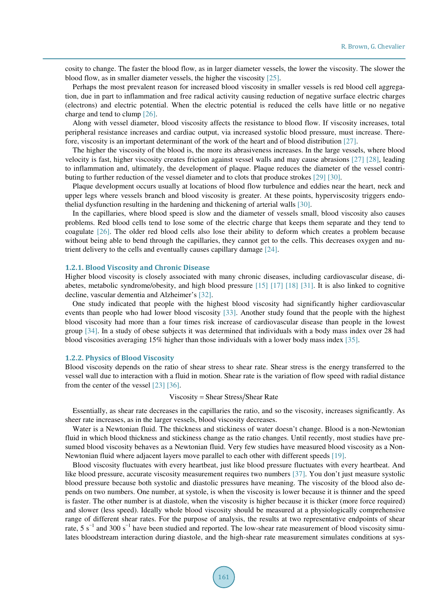cosity to change. The faster the blood flow, as in larger diameter vessels, the lower the viscosity. The slower the blood flow, as in smaller diameter vessels, the higher the viscosit[y \[25\].](#page-8-9) 

Perhaps the most prevalent reason for increased blood viscosity in smaller vessels is red blood cell aggregation, due in part to inflammation and free radical activity causing reduction of negative surface electric charges (electrons) and electric potential. When the electric potential is reduced the cells have little or no negative charge and tend to clump [\[26\].](#page-8-10)

Along with vessel diameter, blood viscosity affects the resistance to blood flow. If viscosity increases, total peripheral resistance increases and cardiac output, via increased systolic blood pressure, must increase. Therefore, viscosity is an important determinant of the work of the heart and of blood distribution [\[27\].](#page-8-11)

The higher the viscosity of the blood is, the more its abrasiveness increases. In the large vessels, where blood velocity is fast, higher viscosity creates friction against vessel walls and may cause abrasions [\[27\]](#page-8-11) [\[28\],](#page-8-12) leading to inflammation and, ultimately, the development of plaque. Plaque reduces the diameter of the vessel contributing to further reduction of the vessel diameter and to clots that produce stroke[s \[29\]](#page-8-13) [\[30\].](#page-8-14) 

Plaque development occurs usually at locations of blood flow turbulence and eddies near the heart, neck and upper legs where vessels branch and blood viscosity is greater. At these points, hyperviscosity triggers endothelial dysfunction resulting in the hardening and thickening of arterial walls [\[30\].](#page-8-14) 

In the capillaries, where blood speed is slow and the diameter of vessels small, blood viscosity also causes problems. Red blood cells tend to lose some of the electric charge that keeps them separate and they tend to coagulate [\[26\].](#page-8-10) The older red blood cells also lose their ability to deform which creates a problem because without being able to bend through the capillaries, they cannot get to the cells. This decreases oxygen and nutrient delivery to the cells and eventually causes capillary damage [\[24\].](#page-8-8)

#### **1.2.1. Blood Viscosity and Chronic Disease**

Higher blood viscosity is closely associated with many chronic diseases, including cardiovascular disease, diabetes, metabolic syndrome/obesity, and high blood pressure [\[15\]](#page-8-3) [\[17\]](#page-8-15) [\[18\]](#page-8-4) [\[31\].](#page-8-16) It is also linked to cognitive decline, vascular dementia and Alzheimer's [\[32\].](#page-9-0)

One study indicated that people with the highest blood viscosity had significantly higher cardiovascular events than people who had lower blood viscosity [\[33\].](#page-9-1) Another study found that the people with the highest blood viscosity had more than a four times risk increase of cardiovascular disease than people in the lowest group [\[34\].](#page-9-2) In a study of obese subjects it was determined that individuals with a body mass index over 28 had blood viscosities averaging 15% higher than those individuals with a lower body mass index [\[35\].](#page-9-3)

#### **1.2.2. Physics of Blood Viscosity**

Blood viscosity depends on the ratio of shear stress to shear rate. Shear stress is the energy transferred to the vessel wall due to interaction with a fluid in motion. Shear rate is the variation of flow speed with radial distance from the center of the vessel [\[23\]](#page-8-7) [\[36\].](#page-9-4)

#### Viscosity = Shear Stress/Shear Rate

Essentially, as shear rate decreases in the capillaries the ratio, and so the viscosity, increases significantly. As sheer rate increases, as in the larger vessels, blood viscosity decreases.

Water is a Newtonian fluid. The thickness and stickiness of water doesn't change. Blood is a non-Newtonian fluid in which blood thickness and stickiness change as the ratio changes. Until recently, most studies have presumed blood viscosity behaves as a Newtonian fluid. Very few studies have measured blood viscosity as a Non-Newtonian fluid where adjacent layers move parallel to each other with different speeds [\[19\].](#page-8-5)

Blood viscosity fluctuates with every heartbeat, just like blood pressure fluctuates with every heartbeat. And like blood pressure, accurate viscosity measurement requires two numbers [\[37\].](#page-9-5) You don't just measure systolic blood pressure because both systolic and diastolic pressures have meaning. The viscosity of the blood also depends on two numbers. One number, at systole, is when the viscosity is lower because it is thinner and the speed is faster. The other number is at diastole, when the viscosity is higher because it is thicker (more force required) and slower (less speed). Ideally whole blood viscosity should be measured at a physiologically comprehensive range of different shear rates. For the purpose of analysis, the results at two representative endpoints of shear rate, 5 s<sup>-1</sup> and 300 s<sup>-1</sup> have been studied and reported. The low-shear rate measurement of blood viscosity simulates bloodstream interaction during diastole, and the high-shear rate measurement simulates conditions at sys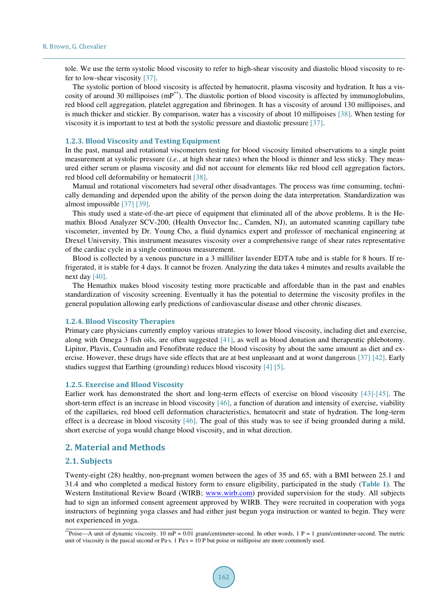tole. We use the term systolic blood viscosity to refer to high-shear viscosity and diastolic blood viscosity to refer to low-shear viscosity [\[37\].](#page-9-5)

The systolic portion of blood viscosity is affected by hematocrit, plasma viscosity and hydration. It has a viscosity of around 30 millipoises  $(mP^{**})$ . The diastolic portion of blood viscosity is affected by immunoglobulins, red blood cell aggregation, platelet aggregation and fibrinogen. It has a viscosity of around 130 millipoises, and is much thicker and stickier. By comparison, water has a viscosity of about 10 millipoises [\[38\].](#page-9-6) When testing for viscosity it is important to test at both the systolic pressure and diastolic pressure [\[37\].](#page-9-5) 

#### **1.2.3. Blood Viscosity and Testing Equipment**

In the past, manual and rotational viscometers testing for blood viscosity limited observations to a single point measurement at systolic pressure (*i.e.*, at high shear rates) when the blood is thinner and less sticky. They measured either serum or plasma viscosity and did not account for elements like red blood cell aggregation factors, red blood cell deformability or hematocrit [\[38\].](#page-9-6)

Manual and rotational viscometers had several other disadvantages. The process was time consuming, technically demanding and depended upon the ability of the person doing the data interpretation. Standardization was almost impossible [\[37\]](#page-9-5) [\[39\].](#page-9-7)

This study used a state-of-the-art piece of equipment that eliminated all of the above problems. It is the Hemathix Blood Analyzer SCV-200, (Health Onvector Inc., Camden, NJ), an automated scanning capillary tube viscometer, invented by Dr. Young Cho, a fluid dynamics expert and professor of mechanical engineering at Drexel University. This instrument measures viscosity over a comprehensive range of shear rates representative of the cardiac cycle in a single continuous measurement.

Blood is collected by a venous puncture in a 3 milliliter lavender EDTA tube and is stable for 8 hours. If refrigerated, it is stable for 4 days. It cannot be frozen. Analyzing the data takes 4 minutes and results available the next day [\[40\].](#page-9-8)

The Hemathix makes blood viscosity testing more practicable and affordable than in the past and enables standardization of viscosity screening. Eventually it has the potential to determine the viscosity profiles in the general population allowing early predictions of cardiovascular disease and other chronic diseases.

#### **1.2.4. Blood Viscosity Therapies**

Primary care physicians currently employ various strategies to lower blood viscosity, including diet and exercise, along with Omega 3 fish oils, are often suggested [\[41\],](#page-9-9) as well as blood donation and therapeutic phlebotomy. Lipitor, Plavix, Coumadin and Fenofibrate reduce the blood viscosity by about the same amount as diet and exercise. However, these drugs have side effects that are at best unpleasant and at worst dangerous [\[37\]](#page-9-5) [\[42\].](#page-9-10) Early studies suggest that Earthing (grounding) reduces blood viscosit[y \[4\]](#page-7-3) [\[5\].](#page-7-4) 

#### **1.2.5. Exercise and Blood Viscosity**

Earlier work has demonstrated the short and long-term effects of exercise on blood viscosity [\[43\]-](#page-9-11)[\[45\].](#page-9-12) The short-term effect is an increase in blood viscosity [\[46\],](#page-9-13) a function of duration and intensity of exercise, viability of the capillaries, red blood cell deformation characteristics, hematocrit and state of hydration. The long-term effect is a decrease in blood viscosity  $[46]$ . The goal of this study was to see if being grounded during a mild, short exercise of yoga would change blood viscosity, and in what direction.

## **2. Material and Methods**

#### **2.1. Subjects**

Twenty-eight (28) healthy, non-pregnant women between the ages of 35 and 65, with a BMI between 25.1 and 31.4 and who completed a medical history form to ensure eligibility, participated in the study (**[Table 1](#page-4-0)**). The Western Institutional Review Board (WIRB; [www.wirb.com\)](http://www.wirb.com/) provided supervision for the study. All subjects had to sign an informed consent agreement approved by WIRB. They were recruited in cooperation with yoga instructors of beginning yoga classes and had either just begun yoga instruction or wanted to begin. They were not experienced in yoga.

<sup>\*\*</sup>Poise—A unit of dynamic viscosity. 10 mP = 0.01 gram/centimeter-second. In other words,  $1 P = 1$  gram/centimeter-second. The metric unit of viscosity is the pascal second or Pa∙s. 1 Pa∙s = 10 P but poise or millipoise are more commonly used.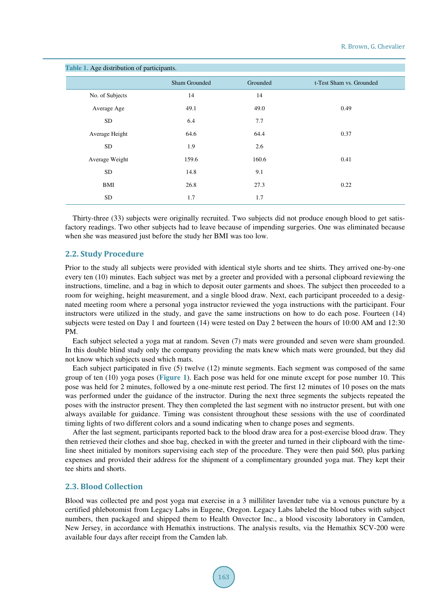<span id="page-4-0"></span>

| Table 1. Age distribution of participants. |               |          |                          |  |  |  |  |  |  |  |
|--------------------------------------------|---------------|----------|--------------------------|--|--|--|--|--|--|--|
|                                            | Sham Grounded | Grounded | t-Test Sham vs. Grounded |  |  |  |  |  |  |  |
| No. of Subjects                            | 14            | 14       |                          |  |  |  |  |  |  |  |
| Average Age                                | 49.1          | 49.0     | 0.49                     |  |  |  |  |  |  |  |
| <b>SD</b>                                  | 6.4           | 7.7      |                          |  |  |  |  |  |  |  |
| Average Height                             | 64.6          | 64.4     | 0.37                     |  |  |  |  |  |  |  |
| <b>SD</b>                                  | 1.9           | 2.6      |                          |  |  |  |  |  |  |  |
| Average Weight                             | 159.6         | 160.6    | 0.41                     |  |  |  |  |  |  |  |
| <b>SD</b>                                  | 14.8          | 9.1      |                          |  |  |  |  |  |  |  |
| <b>BMI</b>                                 | 26.8          | 27.3     | 0.22                     |  |  |  |  |  |  |  |
| SD                                         | 1.7           | 1.7      |                          |  |  |  |  |  |  |  |

Thirty-three (33) subjects were originally recruited. Two subjects did not produce enough blood to get satisfactory readings. Two other subjects had to leave because of impending surgeries. One was eliminated because when she was measured just before the study her BMI was too low.

#### **2.2. Study Procedure**

Prior to the study all subjects were provided with identical style shorts and tee shirts. They arrived one-by-one every ten (10) minutes. Each subject was met by a greeter and provided with a personal clipboard reviewing the instructions, timeline, and a bag in which to deposit outer garments and shoes. The subject then proceeded to a room for weighing, height measurement, and a single blood draw. Next, each participant proceeded to a designated meeting room where a personal yoga instructor reviewed the yoga instructions with the participant. Four instructors were utilized in the study, and gave the same instructions on how to do each pose. Fourteen (14) subjects were tested on Day 1 and fourteen (14) were tested on Day 2 between the hours of 10:00 AM and 12:30 PM.

Each subject selected a yoga mat at random. Seven (7) mats were grounded and seven were sham grounded. In this double blind study only the company providing the mats knew which mats were grounded, but they did not know which subjects used which mats.

Each subject participated in five (5) twelve (12) minute segments. Each segment was composed of the same group of ten (10) yoga poses (**[Figure 1](#page-5-0)**). Each pose was held for one minute except for pose number 10. This pose was held for 2 minutes, followed by a one-minute rest period. The first 12 minutes of 10 poses on the mats was performed under the guidance of the instructor. During the next three segments the subjects repeated the poses with the instructor present. They then completed the last segment with no instructor present, but with one always available for guidance. Timing was consistent throughout these sessions with the use of coordinated timing lights of two different colors and a sound indicating when to change poses and segments.

After the last segment, participants reported back to the blood draw area for a post-exercise blood draw. They then retrieved their clothes and shoe bag, checked in with the greeter and turned in their clipboard with the timeline sheet initialed by monitors supervising each step of the procedure. They were then paid \$60, plus parking expenses and provided their address for the shipment of a complimentary grounded yoga mat. They kept their tee shirts and shorts.

#### **2.3. Blood Collection**

Blood was collected pre and post yoga mat exercise in a 3 milliliter lavender tube via a venous puncture by a certified phlebotomist from Legacy Labs in Eugene, Oregon. Legacy Labs labeled the blood tubes with subject numbers, then packaged and shipped them to Health Onvector Inc., a blood viscosity laboratory in Camden, New Jersey, in accordance with Hemathix instructions. The analysis results, via the Hemathix SCV-200 were available four days after receipt from the Camden lab.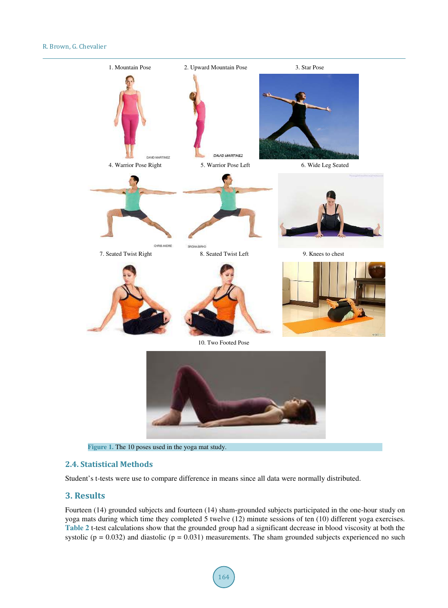<span id="page-5-0"></span>

**Figure 1.** The 10 poses used in the yoga mat study.

## **2.4. Statistical Methods**

Student's t-tests were use to compare difference in means since all data were normally distributed.

## **3. Results**

Fourteen (14) grounded subjects and fourteen (14) sham-grounded subjects participated in the one-hour study on yoga mats during which time they completed 5 twelve (12) minute sessions of ten (10) different yoga exercises. **[Table 2](#page-6-0)** t-test calculations show that the grounded group had a significant decrease in blood viscosity at both the systolic ( $p = 0.032$ ) and diastolic ( $p = 0.031$ ) measurements. The sham grounded subjects experienced no such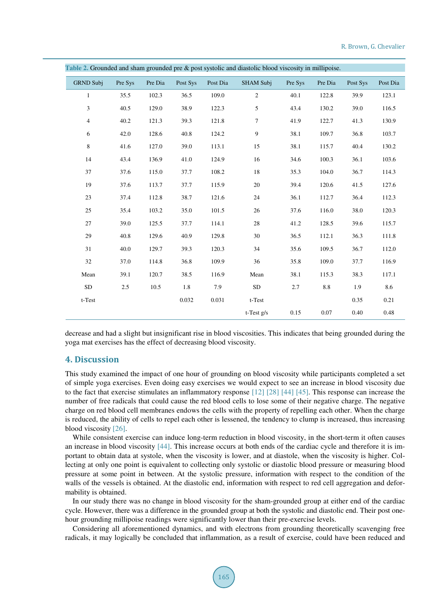| <b>Table 2.</b> Crounded and sham grounded pre $\alpha$ post systeme and diastome blood viscosity in immipolise. |         |         |          |          |                  |         |         |          |          |  |  |
|------------------------------------------------------------------------------------------------------------------|---------|---------|----------|----------|------------------|---------|---------|----------|----------|--|--|
| <b>GRND Subj</b>                                                                                                 | Pre Sys | Pre Dia | Post Sys | Post Dia | <b>SHAM Subj</b> | Pre Sys | Pre Dia | Post Sys | Post Dia |  |  |
| $\mathbf{1}$                                                                                                     | 35.5    | 102.3   | 36.5     | 109.0    | $\overline{c}$   | 40.1    | 122.8   | 39.9     | 123.1    |  |  |
| 3                                                                                                                | 40.5    | 129.0   | 38.9     | 122.3    | 5                | 43.4    | 130.2   | 39.0     | 116.5    |  |  |
| $\overline{4}$                                                                                                   | 40.2    | 121.3   | 39.3     | 121.8    | $\tau$           | 41.9    | 122.7   | 41.3     | 130.9    |  |  |
| 6                                                                                                                | 42.0    | 128.6   | 40.8     | 124.2    | 9                | 38.1    | 109.7   | 36.8     | 103.7    |  |  |
| 8                                                                                                                | 41.6    | 127.0   | 39.0     | 113.1    | 15               | 38.1    | 115.7   | 40.4     | 130.2    |  |  |
| 14                                                                                                               | 43.4    | 136.9   | 41.0     | 124.9    | 16               | 34.6    | 100.3   | 36.1     | 103.6    |  |  |
| 37                                                                                                               | 37.6    | 115.0   | 37.7     | 108.2    | 18               | 35.3    | 104.0   | 36.7     | 114.3    |  |  |
| 19                                                                                                               | 37.6    | 113.7   | 37.7     | 115.9    | 20               | 39.4    | 120.6   | 41.5     | 127.6    |  |  |
| 23                                                                                                               | 37.4    | 112.8   | 38.7     | 121.6    | 24               | 36.1    | 112.7   | 36.4     | 112.3    |  |  |
| 25                                                                                                               | 35.4    | 103.2   | 35.0     | 101.5    | 26               | 37.6    | 116.0   | 38.0     | 120.3    |  |  |
| 27                                                                                                               | 39.0    | 125.5   | 37.7     | 114.1    | 28               | 41.2    | 128.5   | 39.6     | 115.7    |  |  |
| 29                                                                                                               | 40.8    | 129.6   | 40.9     | 129.8    | 30               | 36.5    | 112.1   | 36.3     | 111.8    |  |  |
| 31                                                                                                               | 40.0    | 129.7   | 39.3     | 120.3    | 34               | 35.6    | 109.5   | 36.7     | 112.0    |  |  |
| 32                                                                                                               | 37.0    | 114.8   | 36.8     | 109.9    | 36               | 35.8    | 109.0   | 37.7     | 116.9    |  |  |
| Mean                                                                                                             | 39.1    | 120.7   | 38.5     | 116.9    | Mean             | 38.1    | 115.3   | 38.3     | 117.1    |  |  |
| SD                                                                                                               | 2.5     | 10.5    | 1.8      | 7.9      | <b>SD</b>        | 2.7     | $8.8\,$ | 1.9      | 8.6      |  |  |
| t-Test                                                                                                           |         |         | 0.032    | 0.031    | t-Test           |         |         | 0.35     | 0.21     |  |  |
|                                                                                                                  |         |         |          |          | $t$ -Test $g/s$  | 0.15    | 0.07    | 0.40     | 0.48     |  |  |

<span id="page-6-0"></span>**Table 2.** Grounded and sham grounded pre & post systolic and diastolic blood viscosity in millipoise.

decrease and had a slight but insignificant rise in blood viscosities. This indicates that being grounded during the yoga mat exercises has the effect of decreasing blood viscosity.

## **4. Discussion**

This study examined the impact of one hour of grounding on blood viscosity while participants completed a set of simple yoga exercises. Even doing easy exercises we would expect to see an increase in blood viscosity due to the fact that exercise stimulates an inflammatory response [\[12\]](#page-8-0) [\[28\]](#page-8-12) [\[44\]](#page-9-14) [\[45\].](#page-9-12) This response can increase the number of free radicals that could cause the red blood cells to lose some of their negative charge. The negative charge on red blood cell membranes endows the cells with the property of repelling each other. When the charge is reduced, the ability of cells to repel each other is lessened, the tendency to clump is increased, thus increasing blood viscosity [\[26\].](#page-8-10)

While consistent exercise can induce long-term reduction in blood viscosity, in the short-term it often causes an increase in blood viscosity [\[44\].](#page-9-14) This increase occurs at both ends of the cardiac cycle and therefore it is important to obtain data at systole, when the viscosity is lower, and at diastole, when the viscosity is higher. Collecting at only one point is equivalent to collecting only systolic or diastolic blood pressure or measuring blood pressure at some point in between. At the systolic pressure, information with respect to the condition of the walls of the vessels is obtained. At the diastolic end, information with respect to red cell aggregation and deformability is obtained.

In our study there was no change in blood viscosity for the sham-grounded group at either end of the cardiac cycle. However, there was a difference in the grounded group at both the systolic and diastolic end. Their post onehour grounding millipoise readings were significantly lower than their pre-exercise levels.

Considering all aforementioned dynamics, and with electrons from grounding theoretically scavenging free radicals, it may logically be concluded that inflammation, as a result of exercise, could have been reduced and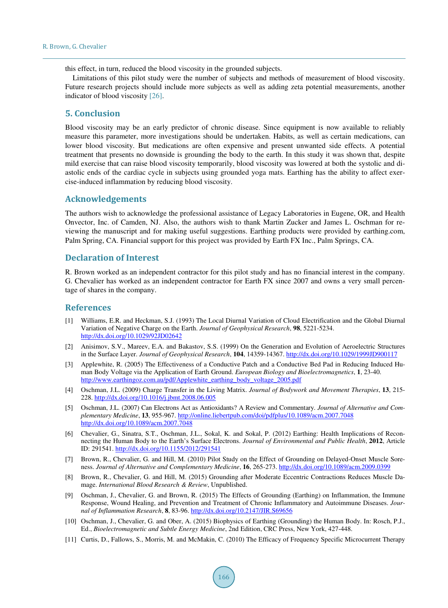this effect, in turn, reduced the blood viscosity in the grounded subjects.

Limitations of this pilot study were the number of subjects and methods of measurement of blood viscosity. Future research projects should include more subjects as well as adding zeta potential measurements, another indicator of blood viscosity [\[26\].](#page-8-10)

## **5. Conclusion**

Blood viscosity may be an early predictor of chronic disease. Since equipment is now available to reliably measure this parameter, more investigations should be undertaken. Habits, as well as certain medications, can lower blood viscosity. But medications are often expensive and present unwanted side effects. A potential treatment that presents no downside is grounding the body to the earth. In this study it was shown that, despite mild exercise that can raise blood viscosity temporarily, blood viscosity was lowered at both the systolic and diastolic ends of the cardiac cycle in subjects using grounded yoga mats. Earthing has the ability to affect exercise-induced inflammation by reducing blood viscosity.

## **Acknowledgements**

The authors wish to acknowledge the professional assistance of Legacy Laboratories in Eugene, OR, and Health Onvector, Inc. of Camden, NJ. Also, the authors wish to thank Martin Zucker and James L. Oschman for reviewing the manuscript and for making useful suggestions. Earthing products were provided by earthing.com, Palm Spring, CA. Financial support for this project was provided by Earth FX Inc., Palm Springs, CA.

### **Declaration of Interest**

R. Brown worked as an independent contractor for this pilot study and has no financial interest in the company. G. Chevalier has worked as an independent contractor for Earth FX since 2007 and owns a very small percentage of shares in the company.

#### **References**

- <span id="page-7-0"></span>[1] Williams, E.R. and Heckman, S.J. (1993) The Local Diurnal Variation of Cloud Electrification and the Global Diurnal Variation of Negative Charge on the Earth. *Journal of Geophysical Research*, **98**, 5221-5234. <http://dx.doi.org/10.1029/92JD02642>
- <span id="page-7-1"></span>[2] Anisimov, S.V., Mareev, E.A. and Bakastov, S.S. (1999) On the Generation and Evolution of Aeroelectric Structures in the Surface Layer. *Journal of Geophysical Research*, **104**, 14359-14367. <http://dx.doi.org/10.1029/1999JD900117>
- <span id="page-7-2"></span>[3] Applewhite, R. (2005) The Effectiveness of a Conductive Patch and a Conductive Bed Pad in Reducing Induced Human Body Voltage via the Application of Earth Ground. *European Biology and Bioelectromagnetics*, **1**, 23-40. [http://www.earthingoz.com.au/pdf/Applewhite\\_earthing\\_body\\_voltage\\_2005.pdf](http://www.earthingoz.com.au/pdf/Applewhite_earthing_body_voltage_2005.pdf)
- <span id="page-7-3"></span>[4] Oschman, J.L. (2009) Charge Transfer in the Living Matrix. *Journal of Bodywork and Movement Therapies*, **13**, 215- 228[. http://dx.doi.org/10.1016/j.jbmt.2008.06.005](http://dx.doi.org/10.1016/j.jbmt.2008.06.005)
- <span id="page-7-4"></span>[5] Oschman, J.L. (2007) Can Electrons Act as Antioxidants? A Review and Commentary. *Journal of Alternative and Complementary Medicine*, **13**, 955-967[. http://online.liebertpub.com/doi/pdfplus/10.1089/acm.2007.7048](http://online.liebertpub.com/doi/pdfplus/10.1089/acm.2007.7048) <http://dx.doi.org/10.1089/acm.2007.7048>
- <span id="page-7-5"></span>[6] Chevalier, G., Sinatra, S.T., Oschman, J.L., Sokal, K. and Sokal, P. (2012) Earthing: Health Implications of Reconnecting the Human Body to the Earth's Surface Electrons. *Journal of Environmental and Public Health*, **2012**, Article ID: 291541[. http://dx.doi.org/10.1155/2012/291541](http://dx.doi.org/10.1155/2012/291541)
- <span id="page-7-7"></span>[7] Brown, R., Chevalier, G. and Hill, M. (2010) Pilot Study on the Effect of Grounding on Delayed-Onset Muscle Soreness. *Journal of Alternative and Complementary Medicine*, **16**, 265-273.<http://dx.doi.org/10.1089/acm.2009.0399>
- <span id="page-7-8"></span>[8] Brown, R., Chevalier, G. and Hill, M. (2015) Grounding after Moderate Eccentric Contractions Reduces Muscle Damage. *International Blood Research & Review*, Unpublished.
- [9] Oschman, J., Chevalier, G. and Brown, R. (2015) The Effects of Grounding (Earthing) on Inflammation, the Immune Response, Wound Healing, and Prevention and Treatment of Chronic Inflammatory and Autoimmune Diseases. *Journal of Inflammation Research*, **8**, 83-96.<http://dx.doi.org/10.2147/JIR.S69656>
- <span id="page-7-6"></span>[10] Oschman, J., Chevalier, G. and Ober, A. (2015) Biophysics of Earthing (Grounding) the Human Body. In: Rosch, P.J., Ed., *Bioelectromagnetic and Subtle Energy Medicine*, 2nd Edition, CRC Press, New York, 427-448.
- <span id="page-7-9"></span>[11] Curtis, D., Fallows, S., Morris, M. and McMakin, C. (2010) The Efficacy of Frequency Specific Microcurrent Therapy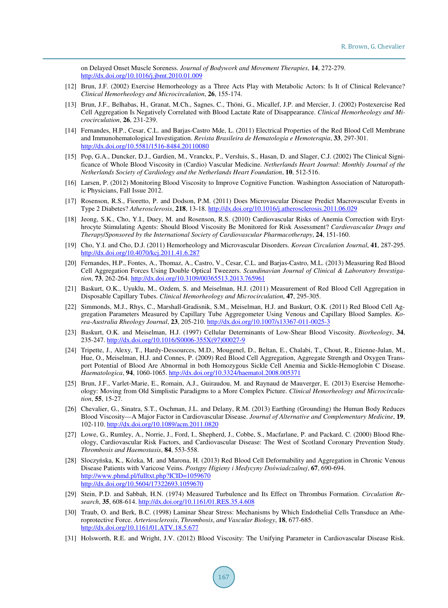on Delayed Onset Muscle Soreness. *Journal of Bodywork and Movement Therapies*, **14**, 272-279. <http://dx.doi.org/10.1016/j.jbmt.2010.01.009>

- <span id="page-8-0"></span>[12] Brun, J.F. (2002) Exercise Hemorheology as a Three Acts Play with Metabolic Actors: Is It of Clinical Relevance? *Clinical Hemorheology and Microcirculation*, **26**, 155-174.
- <span id="page-8-1"></span>[13] Brun, J.F., Belhabas, H., Granat, M.Ch., Sagnes, C., Thöni, G., Micallef, J.P. and Mercier, J. (2002) Postexercise Red Cell Aggregation Is Negatively Correlated with Blood Lactate Rate of Disappearance. *Clinical Hemorheology and Microcirculation*, **26**, 231-239.
- <span id="page-8-2"></span>[14] Fernandes, H.P., Cesar, C.L. and Barjas-Castro Mde, L. (2011) Electrical Properties of the Red Blood Cell Membrane and Immunohematological Investigation. *Revista Brasileira de Hematologia e Hemoterapia*, **33**, 297-301. <http://dx.doi.org/10.5581/1516-8484.20110080>
- <span id="page-8-3"></span>[15] Pop, G.A., Duncker, D.J., Gardien, M., Vranckx, P., Versluis, S., Hasan, D. and Slager, C.J. (2002) The Clinical Significance of Whole Blood Viscosity in (Cardio) Vascular Medicine. *Netherlands Heart Journal*: *Monthly Journal of the Netherlands Society of Cardiology and the Netherlands Heart Foundation*, **10**, 512-516.
- [16] Larsen, P. (2012) Monitoring Blood Viscosity to Improve Cognitive Function. Washington Association of Naturopathic Physicians, Fall Issue 2012.
- <span id="page-8-15"></span>[17] Rosenson, R.S., Fioretto, P. and Dodson, P.M. (2011) Does Microvascular Disease Predict Macrovascular Events in Type 2 Diabetes? *Atherosclerosis*, **218**, 13-18.<http://dx.doi.org/10.1016/j.atherosclerosis.2011.06.029>
- <span id="page-8-4"></span>[18] Jeong, S.K., Cho, Y.I., Duey, M. and Rosenson, R.S. (2010) Cardiovascular Risks of Anemia Correction with Erythrocyte Stimulating Agents: Should Blood Viscosity Be Monitored for Risk Assessment? *Cardiovascular Drugs and Therapy*/*Sponsored by the International Society of Cardiovascular Pharmacotherapy*, **24**, 151-160.
- <span id="page-8-5"></span>[19] Cho, Y.I. and Cho, D.J. (2011) Hemorheology and Microvascular Disorders. *Korean Circulation Journal*, **41**, 287-295. <http://dx.doi.org/10.4070/kcj.2011.41.6.287>
- [20] Fernandes, H.P., Fontes, A., Thomaz, A., Castro, V., Cesar, C.L. and Barjas-Castro, M.L. (2013) Measuring Red Blood Cell Aggregation Forces Using Double Optical Tweezers. *Scandinavian Journal of Clinical & Laboratory Investigation*, **73**, 262-264.<http://dx.doi.org/10.3109/00365513.2013.765961>
- [21] Baskurt, O.K., Uyuklu, M., Ozdem, S. and Meiselman, H.J. (2011) Measurement of Red Blood Cell Aggregation in Disposable Capillary Tubes. *Clinical Hemorheology and Microcirculation*, **47**, 295-305.
- <span id="page-8-6"></span>[22] Simmonds, M.J., Rhys, C., Marshall-Gradisnik, S.M., Meiselman, H.J. and Baskurt, O.K. (2011) Red Blood Cell Aggregation Parameters Measured by Capillary Tube Aggregometer Using Venous and Capillary Blood Samples. *Korea*-*Australia Rheology Journal*, **23**, 205-210[. http://dx.doi.org/10.1007/s13367-011-0025-3](http://dx.doi.org/10.1007/s13367-011-0025-3)
- <span id="page-8-7"></span>[23] Baskurt, O.K. and Meiselman, H.J. (1997) Cellular Determinants of Low-Shear Blood Viscosity. *Biorheology*, **34**, 235-247. [http://dx.doi.org/10.1016/S0006-355X\(97\)00027-9](http://dx.doi.org/10.1016/S0006-355X(97)00027-9)
- <span id="page-8-8"></span>[24] Tripette, J., Alexy, T., Hardy-Dessources, M.D., Mougenel, D., Beltan, E., Chalabi, T., Chout, R., Etienne-Julan, M., Hue, O., Meiselman, H.J. and Connes, P. (2009) Red Blood Cell Aggregation, Aggregate Strength and Oxygen Transport Potential of Blood Are Abnormal in both Homozygous Sickle Cell Anemia and Sickle-Hemoglobin C Disease. *Haematologica*, **94**, 1060-1065[. http://dx.doi.org/10.3324/haematol.2008.005371](http://dx.doi.org/10.3324/haematol.2008.005371)
- <span id="page-8-9"></span>[25] Brun, J.F., Varlet-Marie, E., Romain, A.J., Guiraudou, M. and Raynaud de Mauverger, E. (2013) Exercise Hemorheology: Moving from Old Simplistic Paradigms to a More Complex Picture. *Clinical Hemorheology and Microcirculation*, **55**, 15-27.
- <span id="page-8-10"></span>[26] Chevalier, G., Sinatra, S.T., Oschman, J.L. and Delany, R.M. (2013) Earthing (Grounding) the Human Body Reduces Blood Viscosity—A Major Factor in Cardiovascular Disease. *Journal of Alternative and Complementary Medicine*, **19**, 102-110[. http://dx.doi.org/10.1089/acm.2011.0820](http://dx.doi.org/10.1089/acm.2011.0820)
- <span id="page-8-11"></span>[27] Lowe, G., Rumley, A., Norrie, J., Ford, I., Shepherd, J., Cobbe, S., Macfarlane, P. and Packard, C. (2000) Blood Rheology, Cardiovascular Risk Factors, and Cardiovascular Disease: The West of Scotland Coronary Prevention Study. *Thrombosis and Haemostasis*, **84**, 553-558.
- <span id="page-8-12"></span>[28] Sloczyńska, K., Kózka, M. and Marona, H. (2013) Red Blood Cell Deformability and Aggregation in Chronic Venous Disease Patients with Varicose Veins. *Postępy Higieny i Medycyny Doświadczalnej*, **67**, 690-694. <http://www.phmd.pl/fulltxt.php?ICID=1059670> <http://dx.doi.org/10.5604/17322693.1059670>
- <span id="page-8-13"></span>[29] Stein, P.D. and Sabbah, H.N. (1974) Measured Turbulence and Its Effect on Thrombus Formation. *Circulation Research*, **35**, 608-614. <http://dx.doi.org/10.1161/01.RES.35.4.608>
- <span id="page-8-14"></span>[30] Traub, O. and Berk, B.C. (1998) Laminar Shear Stress: Mechanisms by Which Endothelial Cells Transduce an Atheroprotective Force. *Arteriosclerosis*, *Thrombosis*, *and Vascular Biology*, **18**, 677-685. <http://dx.doi.org/10.1161/01.ATV.18.5.677>
- <span id="page-8-16"></span>[31] Holsworth, R.E. and Wright, J.V. (2012) Blood Viscosity: The Unifying Parameter in Cardiovascular Disease Risk.